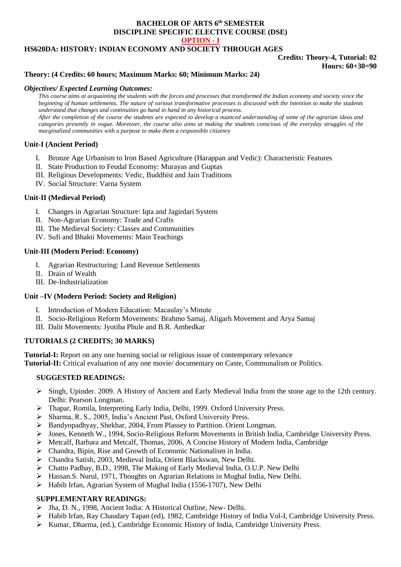## **BACHELOR OF ARTS 6 th SEMESTER DISCIPLINE SPECIFIC ELECTIVE COURSE (DSE) OPTION - I**

## **HS620DA: HISTORY: INDIAN ECONOMY AND SOCIETY THROUGH AGES**

### **Credits: Theory-4, Tutorial: 02 Hours: 60+30=90**

### **Theory: (4 Credits: 60 hours; Maximum Marks: 60; Minimum Marks: 24)**

### *Objectives/ Expected Learning Outcomes:*

*This course aims at acquainting the students with the forces and processes that transformed the Indian economy and society since the beginning of human settlements. The nature of various transformative processes is discussed with the intention to make the students understand that changes and continuities go hand in hand in any historical process. After the completion of the course the students are expected to develop a nuanced understanding of some of the agrarian ideas and categories presently in vogue. Moreover, the course also aims at making the students conscious of the everyday struggles of the marginalized communities with a purpose to make them a responsible citizenry* 

### **Unit-I (Ancient Period)**

- I. Bronze Age Urbanism to Iron Based Agriculture (Harappan and Vedic): Characteristic Features
- II. State Production to Feudal Economy: Murayas and Guptas
- III. Religious Developments: Vedic, Buddhist and Jain Traditions
- IV. Social Structure: Varna System

### **Unit-II (Medieval Period)**

- I. Changes in Agrarian Structure: Iqta and Jagirdari System
- II. Non-Agrarian Economy: Trade and Crafts
- III. The Medieval Society: Classes and Communities
- IV. Sufi and Bhakti Movements: Main Teachings

### **Unit-III (Modern Period: Economy)**

- I. Agrarian Restructuring: Land Revenue Settlements
- II. Drain of Wealth
- III. De-Industrialization

### **Unit –IV (Modern Period: Society and Religion)**

- I. Introduction of Modern Education: Macaulay's Minute
- II. Socio-Religious Reform Movements: Brahmo Samaj, Aligarh Movement and Arya Samaj
- III. Dalit Movements: Jyotiba Phule and B.R. Ambedkar

### **TUTORIALS (2 CREDITS; 30 MARKS)**

**Tutorial-I:** Report on any one burning social or religious issue of contemporary relevance **Tutorial-II:** Critical evaluation of any one movie/ documentary on Caste, Communalism or Politics.

### **SUGGESTED READINGS:**

- $\triangleright$  Singh, Upinder. 2009. A History of Ancient and Early Medieval India from the stone age to the 12th century. Delhi: Pearson Longman.
- Thapar, Romila, Interpreting Early India, Delhi, 1999. Oxford University Press.
- Sharma, R. S., 2005, India's Ancient Past, Oxford University Press.
- $\triangleright$  Bandyopadhyay, Shekhar, 2004, From Plassey to Partition. Orient Longman.
- Jones, Kenneth W., 1994, Socio-Religious Reform Movements in British India, Cambridge University Press.
- $\triangleright$  Metcalf, Barbara and Metcalf, Thomas, 2006, A Concise History of Modern India, Cambridge
- Chandra, Bipin, Rise and Growth of Economic Nationalism in India.
- Chandra Satish, 2003, Medieval India, Orient Blackswan, New Delhi.
- Chatto Padhay, B.D., 1998, The Making of Early Medieval India, O.U.P. New Delhi
- $\triangleright$  Hassan.S. Nurul, 1971, Thoughts on Agrarian Relations in Mughal India, New Delhi.
- Habib Irfan, Agrarian System of Mughal India (1556-1707), New Delhi

## **SUPPLEMENTARY READINGS:**

- Jha, D. N., 1998, Ancient India: A Historical Outline, New- Delhi.
- Habib Irfan, Ray Chaudary Tapan (ed), 1982, Cambridge History of India Vol-I, Cambridge University Press.
- $\triangleright$  Kumar, Dharma, (ed.), Cambridge Economic History of India, Cambridge University Press.